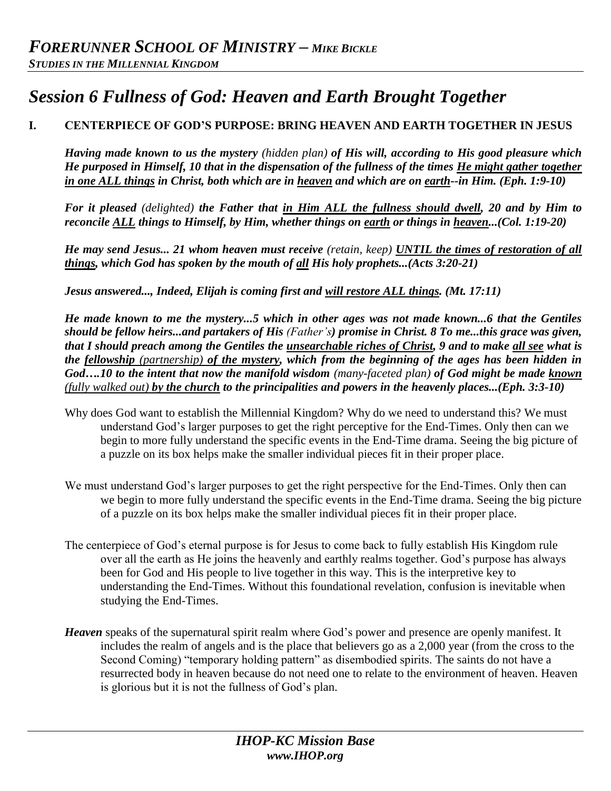# *Session 6 Fullness of God: Heaven and Earth Brought Together*

# **I. CENTERPIECE OF GOD'S PURPOSE: BRING HEAVEN AND EARTH TOGETHER IN JESUS**

*Having made known to us the mystery (hidden plan) of His will, according to His good pleasure which He purposed in Himself, 10 that in the dispensation of the fullness of the times He might gather together in one ALL things in Christ, both which are in heaven and which are on earth--in Him. (Eph. 1:9-10)* 

*For it pleased (delighted) the Father that in Him ALL the fullness should dwell, 20 and by Him to reconcile ALL things to Himself, by Him, whether things on earth or things in heaven...(Col. 1:19-20)* 

*He may send Jesus... 21 whom heaven must receive (retain, keep) UNTIL the times of restoration of all things, which God has spoken by the mouth of all His holy prophets...(Acts 3:20-21)* 

*Jesus answered..., Indeed, Elijah is coming first and will restore ALL things. (Mt. 17:11)*

*He made known to me the mystery...5 which in other ages was not made known...6 that the Gentiles should be fellow heirs...and partakers of His (Father's) promise in Christ. 8 To me...this grace was given, that I should preach among the Gentiles the unsearchable riches of Christ, 9 and to make all see what is the fellowship (partnership) of the mystery, which from the beginning of the ages has been hidden in God….10 to the intent that now the manifold wisdom (many-faceted plan) of God might be made known (fully walked out) by the church to the principalities and powers in the heavenly places...(Eph. 3:3-10)*

- Why does God want to establish the Millennial Kingdom? Why do we need to understand this? We must understand God's larger purposes to get the right perceptive for the End-Times. Only then can we begin to more fully understand the specific events in the End-Time drama. Seeing the big picture of a puzzle on its box helps make the smaller individual pieces fit in their proper place.
- We must understand God's larger purposes to get the right perspective for the End-Times. Only then can we begin to more fully understand the specific events in the End-Time drama. Seeing the big picture of a puzzle on its box helps make the smaller individual pieces fit in their proper place.
- The centerpiece of God's eternal purpose is for Jesus to come back to fully establish His Kingdom rule over all the earth as He joins the heavenly and earthly realms together. God's purpose has always been for God and His people to live together in this way. This is the interpretive key to understanding the End-Times. Without this foundational revelation, confusion is inevitable when studying the End-Times.
- *Heaven* speaks of the supernatural spirit realm where God's power and presence are openly manifest. It includes the realm of angels and is the place that believers go as a 2,000 year (from the cross to the Second Coming) "temporary holding pattern" as disembodied spirits. The saints do not have a resurrected body in heaven because do not need one to relate to the environment of heaven. Heaven is glorious but it is not the fullness of God's plan.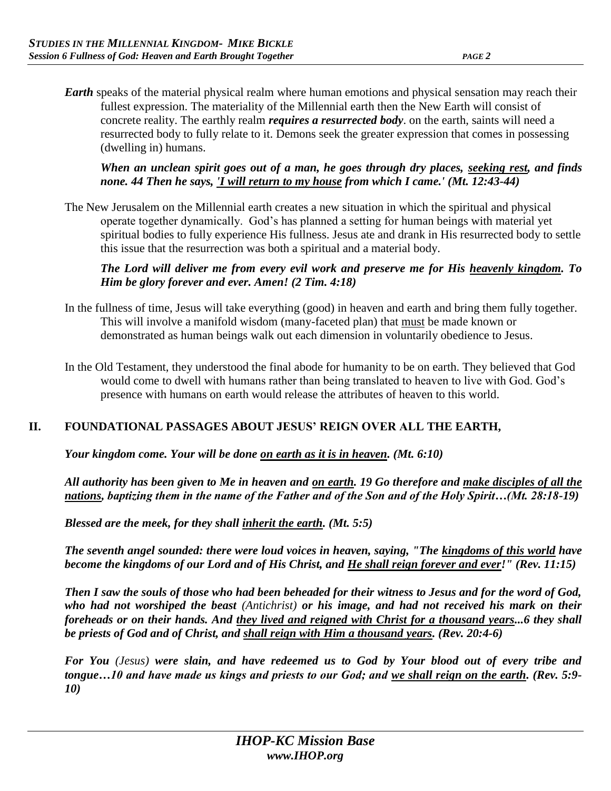*Earth* speaks of the material physical realm where human emotions and physical sensation may reach their fullest expression. The materiality of the Millennial earth then the New Earth will consist of concrete reality. The earthly realm *requires a resurrected body*. on the earth, saints will need a resurrected body to fully relate to it. Demons seek the greater expression that comes in possessing (dwelling in) humans.

*When an unclean spirit goes out of a man, he goes through dry places, seeking rest, and finds none. 44 Then he says, 'I will return to my house from which I came.' (Mt. 12:43-44)*

The New Jerusalem on the Millennial earth creates a new situation in which the spiritual and physical operate together dynamically. God's has planned a setting for human beings with material yet spiritual bodies to fully experience His fullness. Jesus ate and drank in His resurrected body to settle this issue that the resurrection was both a spiritual and a material body.

#### *The Lord will deliver me from every evil work and preserve me for His heavenly kingdom. To Him be glory forever and ever. Amen! (2 Tim. 4:18)*

- In the fullness of time, Jesus will take everything (good) in heaven and earth and bring them fully together. This will involve a manifold wisdom (many-faceted plan) that must be made known or demonstrated as human beings walk out each dimension in voluntarily obedience to Jesus.
- In the Old Testament, they understood the final abode for humanity to be on earth. They believed that God would come to dwell with humans rather than being translated to heaven to live with God. God's presence with humans on earth would release the attributes of heaven to this world.

# **II. FOUNDATIONAL PASSAGES ABOUT JESUS' REIGN OVER ALL THE EARTH,**

*Your kingdom come. Your will be done on earth as it is in heaven. (Mt. 6:10)* 

*All authority has been given to Me in heaven and on earth. 19 Go therefore and make disciples of all the nations, baptizing them in the name of the Father and of the Son and of the Holy Spirit…(Mt. 28:18-19)* 

*Blessed are the meek, for they shall inherit the earth. (Mt. 5:5)* 

*The seventh angel sounded: there were loud voices in heaven, saying, "The kingdoms of this world have become the kingdoms of our Lord and of His Christ, and He shall reign forever and ever!" (Rev. 11:15)* 

*Then I saw the souls of those who had been beheaded for their witness to Jesus and for the word of God, who had not worshiped the beast (Antichrist) or his image, and had not received his mark on their foreheads or on their hands. And they lived and reigned with Christ for a thousand years...6 they shall be priests of God and of Christ, and shall reign with Him a thousand years. (Rev. 20:4-6)* 

*For You (Jesus) were slain, and have redeemed us to God by Your blood out of every tribe and tongue…10 and have made us kings and priests to our God; and we shall reign on the earth. (Rev. 5:9- 10)*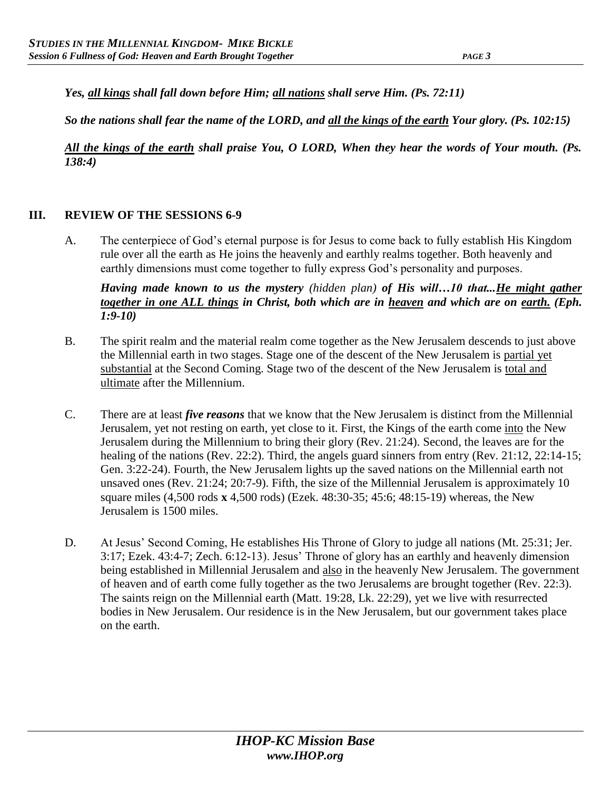*Yes, all kings shall fall down before Him; all nations shall serve Him. (Ps. 72:11)* 

*So the nations shall fear the name of the LORD, and all the kings of the earth Your glory. (Ps. 102:15)* 

*All the kings of the earth shall praise You, O LORD, When they hear the words of Your mouth. (Ps. 138:4)*

#### **III. REVIEW OF THE SESSIONS 6-9**

A. The centerpiece of God's eternal purpose is for Jesus to come back to fully establish His Kingdom rule over all the earth as He joins the heavenly and earthly realms together. Both heavenly and earthly dimensions must come together to fully express God's personality and purposes.

*Having made known to us the mystery (hidden plan) of His will…10 that...He might gather together in one ALL things in Christ, both which are in heaven and which are on earth. (Eph. 1:9-10)* 

- B. The spirit realm and the material realm come together as the New Jerusalem descends to just above the Millennial earth in two stages. Stage one of the descent of the New Jerusalem is partial yet substantial at the Second Coming. Stage two of the descent of the New Jerusalem is total and ultimate after the Millennium.
- C. There are at least *five reasons* that we know that the New Jerusalem is distinct from the Millennial Jerusalem, yet not resting on earth, yet close to it. First, the Kings of the earth come into the New Jerusalem during the Millennium to bring their glory (Rev. 21:24). Second, the leaves are for the healing of the nations (Rev. 22:2). Third, the angels guard sinners from entry (Rev. 21:12, 22:14-15; Gen. 3:22-24). Fourth, the New Jerusalem lights up the saved nations on the Millennial earth not unsaved ones (Rev. 21:24; 20:7-9). Fifth, the size of the Millennial Jerusalem is approximately 10 square miles (4,500 rods **x** 4,500 rods) (Ezek. 48:30-35; 45:6; 48:15-19) whereas, the New Jerusalem is 1500 miles.
- D. At Jesus' Second Coming, He establishes His Throne of Glory to judge all nations (Mt. 25:31; Jer. 3:17; Ezek. 43:4-7; Zech. 6:12-13). Jesus' Throne of glory has an earthly and heavenly dimension being established in Millennial Jerusalem and also in the heavenly New Jerusalem. The government of heaven and of earth come fully together as the two Jerusalems are brought together (Rev. 22:3). The saints reign on the Millennial earth (Matt. 19:28, Lk. 22:29), yet we live with resurrected bodies in New Jerusalem. Our residence is in the New Jerusalem, but our government takes place on the earth.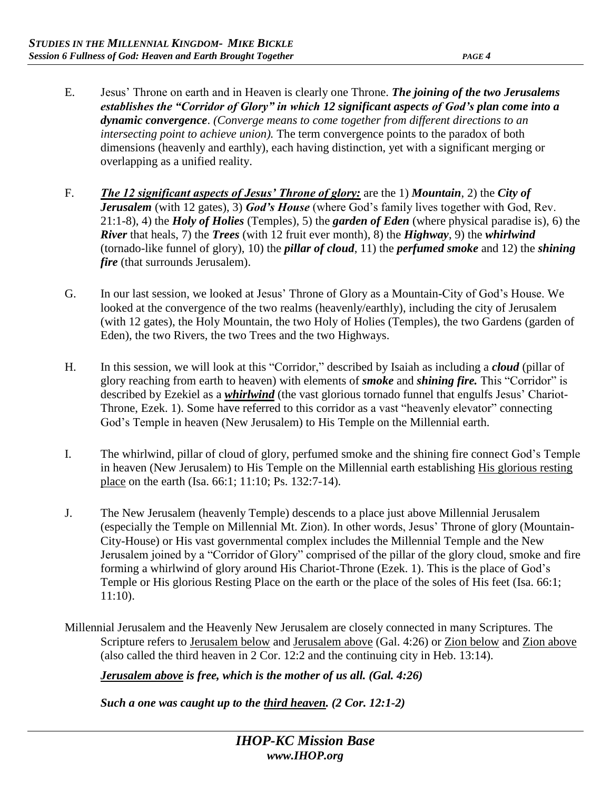- E. Jesus' Throne on earth and in Heaven is clearly one Throne. *The joining of the two Jerusalems establishes the "Corridor of Glory" in which 12 significant aspects of God's plan come into a dynamic convergence*. *(Converge means to come together from different directions to an intersecting point to achieve union).* The term convergence points to the paradox of both dimensions (heavenly and earthly), each having distinction, yet with a significant merging or overlapping as a unified reality.
- F. *The 12 significant aspects of Jesus' Throne of glory:* are the 1) *Mountain*, 2) the *City of Jerusalem* (with 12 gates), 3) *God's House* (where God's family lives together with God, Rev. 21:1-8), 4) the *Holy of Holies* (Temples), 5) the *garden of Eden* (where physical paradise is), 6) the *River* that heals, 7) the *Trees* (with 12 fruit ever month), 8) the *Highway*, 9) the *whirlwind*  (tornado-like funnel of glory), 10) the *pillar of cloud*, 11) the *perfumed smoke* and 12) the *shining fire* (that surrounds Jerusalem).
- G. In our last session, we looked at Jesus' Throne of Glory as a Mountain-City of God's House. We looked at the convergence of the two realms (heavenly/earthly), including the city of Jerusalem (with 12 gates), the Holy Mountain, the two Holy of Holies (Temples), the two Gardens (garden of Eden), the two Rivers, the two Trees and the two Highways.
- H. In this session, we will look at this "Corridor," described by Isaiah as including a *cloud* (pillar of glory reaching from earth to heaven) with elements of *smoke* and *shining fire.* This "Corridor" is described by Ezekiel as a *whirlwind* (the vast glorious tornado funnel that engulfs Jesus' Chariot-Throne, Ezek. 1). Some have referred to this corridor as a vast "heavenly elevator" connecting God's Temple in heaven (New Jerusalem) to His Temple on the Millennial earth.
- I. The whirlwind, pillar of cloud of glory, perfumed smoke and the shining fire connect God's Temple in heaven (New Jerusalem) to His Temple on the Millennial earth establishing His glorious resting place on the earth (Isa. 66:1; 11:10; Ps. 132:7-14).
- J. The New Jerusalem (heavenly Temple) descends to a place just above Millennial Jerusalem (especially the Temple on Millennial Mt. Zion). In other words, Jesus' Throne of glory (Mountain-City-House) or His vast governmental complex includes the Millennial Temple and the New Jerusalem joined by a "Corridor of Glory" comprised of the pillar of the glory cloud, smoke and fire forming a whirlwind of glory around His Chariot-Throne (Ezek. 1). This is the place of God's Temple or His glorious Resting Place on the earth or the place of the soles of His feet (Isa. 66:1; 11:10).
- Millennial Jerusalem and the Heavenly New Jerusalem are closely connected in many Scriptures. The Scripture refers to Jerusalem below and Jerusalem above (Gal. 4:26) or Zion below and Zion above (also called the third heaven in 2 Cor. 12:2 and the continuing city in Heb. 13:14).

*Jerusalem above is free, which is the mother of us all. (Gal. 4:26)* 

*Such a one was caught up to the third heaven. (2 Cor. 12:1-2)*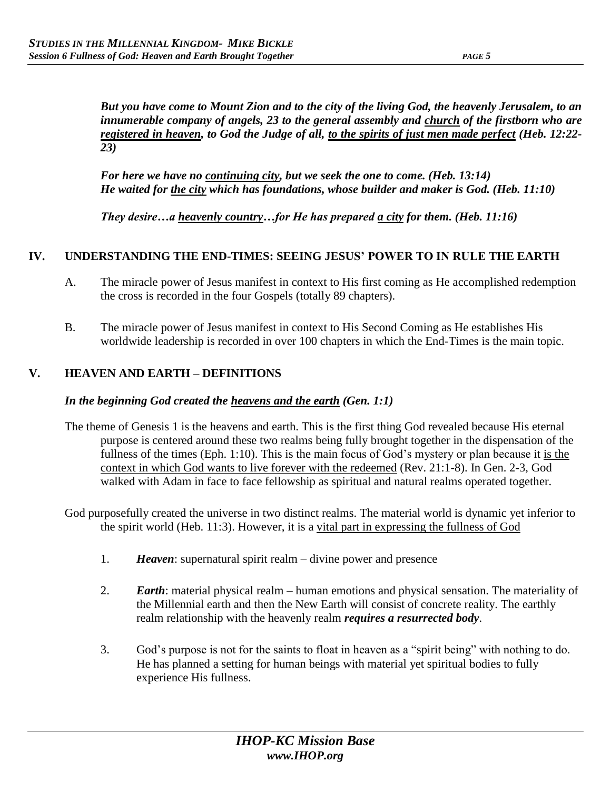*But you have come to Mount Zion and to the city of the living God, the heavenly Jerusalem, to an innumerable company of angels, 23 to the general assembly and church of the firstborn who are registered in heaven, to God the Judge of all, to the spirits of just men made perfect (Heb. 12:22- 23)* 

*For here we have no continuing city, but we seek the one to come. (Heb. 13:14) He waited for the city which has foundations, whose builder and maker is God. (Heb. 11:10)* 

*They desire…a heavenly country…for He has prepared a city for them. (Heb. 11:16)* 

#### **IV. UNDERSTANDING THE END-TIMES: SEEING JESUS' POWER TO IN RULE THE EARTH**

- A. The miracle power of Jesus manifest in context to His first coming as He accomplished redemption the cross is recorded in the four Gospels (totally 89 chapters).
- B. The miracle power of Jesus manifest in context to His Second Coming as He establishes His worldwide leadership is recorded in over 100 chapters in which the End-Times is the main topic.

# **V. HEAVEN AND EARTH – DEFINITIONS**

#### *In the beginning God created the heavens and the earth (Gen. 1:1)*

- The theme of Genesis 1 is the heavens and earth. This is the first thing God revealed because His eternal purpose is centered around these two realms being fully brought together in the dispensation of the fullness of the times (Eph. 1:10). This is the main focus of God's mystery or plan because it is the context in which God wants to live forever with the redeemed (Rev. 21:1-8). In Gen. 2-3, God walked with Adam in face to face fellowship as spiritual and natural realms operated together.
- God purposefully created the universe in two distinct realms. The material world is dynamic yet inferior to the spirit world (Heb. 11:3). However, it is a vital part in expressing the fullness of God
	- 1. *Heaven*: supernatural spirit realm divine power and presence
	- 2. *Earth*: material physical realm human emotions and physical sensation. The materiality of the Millennial earth and then the New Earth will consist of concrete reality. The earthly realm relationship with the heavenly realm *requires a resurrected body*.
	- 3. God's purpose is not for the saints to float in heaven as a "spirit being" with nothing to do. He has planned a setting for human beings with material yet spiritual bodies to fully experience His fullness.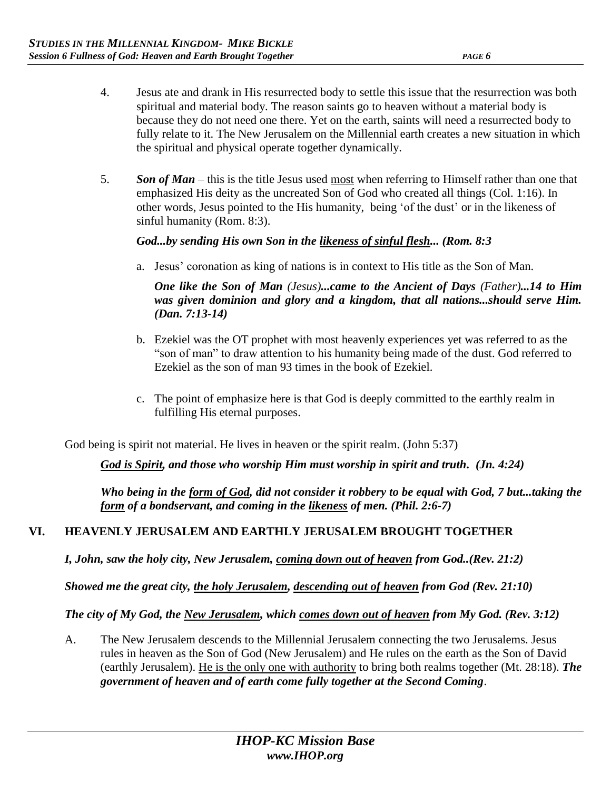- 4. Jesus ate and drank in His resurrected body to settle this issue that the resurrection was both spiritual and material body. The reason saints go to heaven without a material body is because they do not need one there. Yet on the earth, saints will need a resurrected body to fully relate to it. The New Jerusalem on the Millennial earth creates a new situation in which the spiritual and physical operate together dynamically.
- 5. *Son of Man*  this is the title Jesus used most when referring to Himself rather than one that emphasized His deity as the uncreated Son of God who created all things (Col. 1:16). In other words, Jesus pointed to the His humanity, being 'of the dust' or in the likeness of sinful humanity (Rom. 8:3).

#### *God...by sending His own Son in the likeness of sinful flesh... (Rom. 8:3*

a. Jesus' coronation as king of nations is in context to His title as the Son of Man.

*One like the Son of Man (Jesus)...came to the Ancient of Days (Father)...14 to Him was given dominion and glory and a kingdom, that all nations...should serve Him. (Dan. 7:13-14)*

- b. Ezekiel was the OT prophet with most heavenly experiences yet was referred to as the "son of man" to draw attention to his humanity being made of the dust. God referred to Ezekiel as the son of man 93 times in the book of Ezekiel.
- c. The point of emphasize here is that God is deeply committed to the earthly realm in fulfilling His eternal purposes.

God being is spirit not material. He lives in heaven or the spirit realm. (John 5:37)

*God is Spirit, and those who worship Him must worship in spirit and truth. (Jn. 4:24)*

*Who being in the form of God, did not consider it robbery to be equal with God, 7 but...taking the form of a bondservant, and coming in the likeness of men. (Phil. 2:6-7)*

# **VI. HEAVENLY JERUSALEM AND EARTHLY JERUSALEM BROUGHT TOGETHER**

*I, John, saw the holy city, New Jerusalem, coming down out of heaven from God..(Rev. 21:2)* 

*Showed me the great city, the holy Jerusalem, descending out of heaven from God (Rev. 21:10)*

*The city of My God, the New Jerusalem, which comes down out of heaven from My God. (Rev. 3:12)* 

A. The New Jerusalem descends to the Millennial Jerusalem connecting the two Jerusalems. Jesus rules in heaven as the Son of God (New Jerusalem) and He rules on the earth as the Son of David (earthly Jerusalem). He is the only one with authority to bring both realms together (Mt. 28:18). *The government of heaven and of earth come fully together at the Second Coming*.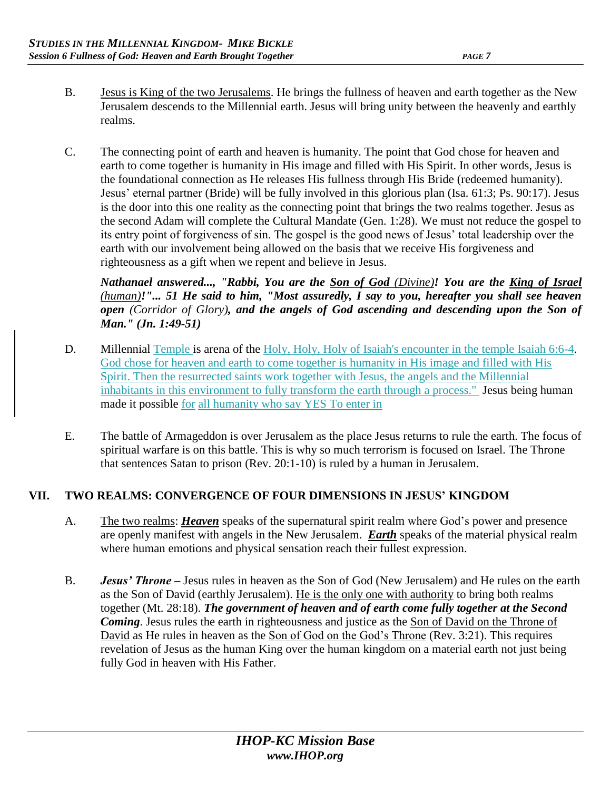- B. Jesus is King of the two Jerusalems. He brings the fullness of heaven and earth together as the New Jerusalem descends to the Millennial earth. Jesus will bring unity between the heavenly and earthly realms.
- C. The connecting point of earth and heaven is humanity. The point that God chose for heaven and earth to come together is humanity in His image and filled with His Spirit. In other words, Jesus is the foundational connection as He releases His fullness through His Bride (redeemed humanity). Jesus' eternal partner (Bride) will be fully involved in this glorious plan (Isa. 61:3; Ps. 90:17). Jesus is the door into this one reality as the connecting point that brings the two realms together. Jesus as the second Adam will complete the Cultural Mandate (Gen. 1:28). We must not reduce the gospel to its entry point of forgiveness of sin. The gospel is the good news of Jesus' total leadership over the earth with our involvement being allowed on the basis that we receive His forgiveness and righteousness as a gift when we repent and believe in Jesus.

*Nathanael answered..., "Rabbi, You are the Son of God (Divine)! You are the King of Israel (human)!"... 51 He said to him, "Most assuredly, I say to you, hereafter you shall see heaven open (Corridor of Glory), and the angels of God ascending and descending upon the Son of Man." (Jn. 1:49-51)* 

- D. Millennial Temple is arena of the Holy, Holy, Holy of Isaiah's encounter in the temple Isaiah 6:6-4. God chose for heaven and earth to come together is humanity in His image and filled with His Spirit. Then the resurrected saints work together with Jesus, the angels and the Millennial inhabitants in this environment to fully transform the earth through a process." Jesus being human made it possible for all humanity who say YES To enter in
- E. The battle of Armageddon is over Jerusalem as the place Jesus returns to rule the earth. The focus of spiritual warfare is on this battle. This is why so much terrorism is focused on Israel. The Throne that sentences Satan to prison (Rev. 20:1-10) is ruled by a human in Jerusalem.

# **VII. TWO REALMS: CONVERGENCE OF FOUR DIMENSIONS IN JESUS' KINGDOM**

- A. The two realms: *Heaven* speaks of the supernatural spirit realm where God's power and presence are openly manifest with angels in the New Jerusalem. *Earth* speaks of the material physical realm where human emotions and physical sensation reach their fullest expression.
- B. *Jesus' Throne –* Jesus rules in heaven as the Son of God (New Jerusalem) and He rules on the earth as the Son of David (earthly Jerusalem). He is the only one with authority to bring both realms together (Mt. 28:18). *The government of heaven and of earth come fully together at the Second Coming*. Jesus rules the earth in righteousness and justice as the Son of David on the Throne of David as He rules in heaven as the Son of God on the God's Throne (Rev. 3:21). This requires revelation of Jesus as the human King over the human kingdom on a material earth not just being fully God in heaven with His Father.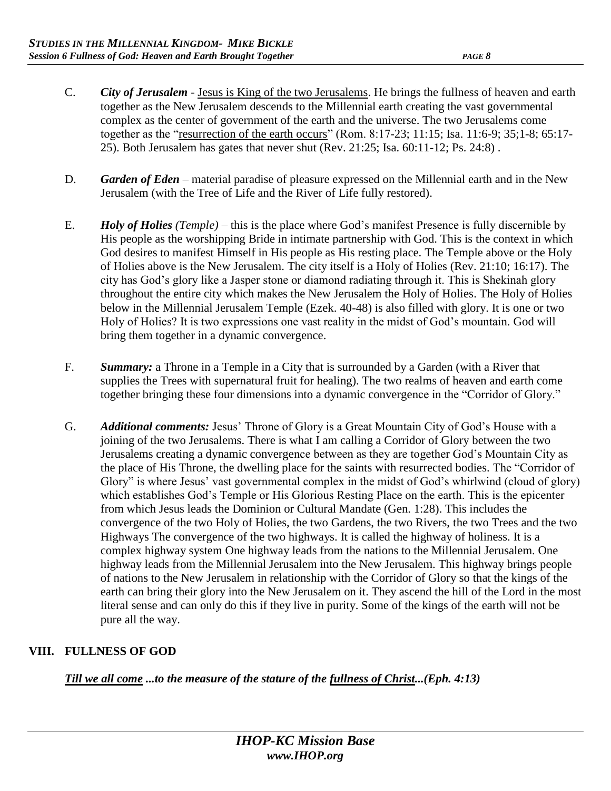- C. *City of Jerusalem* Jesus is King of the two Jerusalems. He brings the fullness of heaven and earth together as the New Jerusalem descends to the Millennial earth creating the vast governmental complex as the center of government of the earth and the universe. The two Jerusalems come together as the "resurrection of the earth occurs" (Rom. 8:17-23; 11:15; Isa. 11:6-9; 35;1-8; 65:17- 25). Both Jerusalem has gates that never shut (Rev. 21:25; Isa. 60:11-12; Ps. 24:8) .
- D. *Garden of Eden* material paradise of pleasure expressed on the Millennial earth and in the New Jerusalem (with the Tree of Life and the River of Life fully restored).
- E. *Holy of Holies (Temple)* this is the place where God's manifest Presence is fully discernible by His people as the worshipping Bride in intimate partnership with God. This is the context in which God desires to manifest Himself in His people as His resting place. The Temple above or the Holy of Holies above is the New Jerusalem. The city itself is a Holy of Holies (Rev. 21:10; 16:17). The city has God's glory like a Jasper stone or diamond radiating through it. This is Shekinah glory throughout the entire city which makes the New Jerusalem the Holy of Holies. The Holy of Holies below in the Millennial Jerusalem Temple (Ezek. 40-48) is also filled with glory. It is one or two Holy of Holies? It is two expressions one vast reality in the midst of God's mountain. God will bring them together in a dynamic convergence.
- F. *Summary:* a Throne in a Temple in a City that is surrounded by a Garden (with a River that supplies the Trees with supernatural fruit for healing). The two realms of heaven and earth come together bringing these four dimensions into a dynamic convergence in the "Corridor of Glory."
- G. *Additional comments:* Jesus' Throne of Glory is a Great Mountain City of God's House with a joining of the two Jerusalems. There is what I am calling a Corridor of Glory between the two Jerusalems creating a dynamic convergence between as they are together God's Mountain City as the place of His Throne, the dwelling place for the saints with resurrected bodies. The "Corridor of Glory" is where Jesus' vast governmental complex in the midst of God's whirlwind (cloud of glory) which establishes God's Temple or His Glorious Resting Place on the earth. This is the epicenter from which Jesus leads the Dominion or Cultural Mandate (Gen. 1:28). This includes the convergence of the two Holy of Holies, the two Gardens, the two Rivers, the two Trees and the two Highways The convergence of the two highways. It is called the highway of holiness. It is a complex highway system One highway leads from the nations to the Millennial Jerusalem. One highway leads from the Millennial Jerusalem into the New Jerusalem. This highway brings people of nations to the New Jerusalem in relationship with the Corridor of Glory so that the kings of the earth can bring their glory into the New Jerusalem on it. They ascend the hill of the Lord in the most literal sense and can only do this if they live in purity. Some of the kings of the earth will not be pure all the way.

# **VIII. FULLNESS OF GOD**

*Till we all come ...to the measure of the stature of the fullness of Christ...(Eph. 4:13)*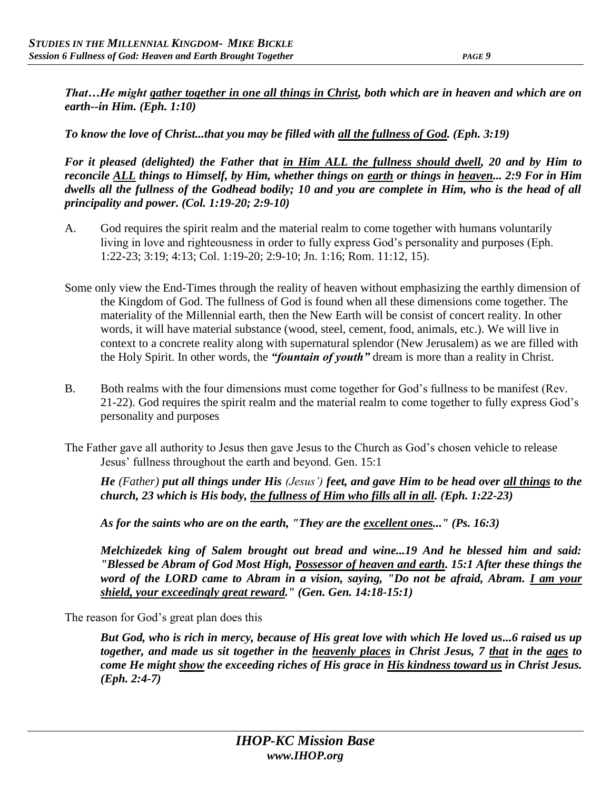*That…He might gather together in one all things in Christ, both which are in heaven and which are on earth--in Him. (Eph. 1:10)* 

*To know the love of Christ...that you may be filled with all the fullness of God. (Eph. 3:19)* 

*For it pleased (delighted) the Father that in Him ALL the fullness should dwell, 20 and by Him to reconcile ALL things to Himself, by Him, whether things on earth or things in heaven... 2:9 For in Him dwells all the fullness of the Godhead bodily; 10 and you are complete in Him, who is the head of all principality and power. (Col. 1:19-20; 2:9-10)* 

- A. God requires the spirit realm and the material realm to come together with humans voluntarily living in love and righteousness in order to fully express God's personality and purposes (Eph. 1:22-23; 3:19; 4:13; Col. 1:19-20; 2:9-10; Jn. 1:16; Rom. 11:12, 15).
- Some only view the End-Times through the reality of heaven without emphasizing the earthly dimension of the Kingdom of God. The fullness of God is found when all these dimensions come together. The materiality of the Millennial earth, then the New Earth will be consist of concert reality. In other words, it will have material substance (wood, steel, cement, food, animals, etc.). We will live in context to a concrete reality along with supernatural splendor (New Jerusalem) as we are filled with the Holy Spirit. In other words, the *"fountain of youth"* dream is more than a reality in Christ.
- B. Both realms with the four dimensions must come together for God's fullness to be manifest (Rev. 21-22). God requires the spirit realm and the material realm to come together to fully express God's personality and purposes
- The Father gave all authority to Jesus then gave Jesus to the Church as God's chosen vehicle to release Jesus' fullness throughout the earth and beyond. Gen. 15:1

*He (Father) put all things under His (Jesus') feet, and gave Him to be head over all things to the church, 23 which is His body, the fullness of Him who fills all in all. (Eph. 1:22-23)* 

*As for the saints who are on the earth, "They are the excellent ones..." (Ps. 16:3)* 

*Melchizedek king of Salem brought out bread and wine...19 And he blessed him and said: "Blessed be Abram of God Most High, Possessor of heaven and earth. 15:1 After these things the word of the LORD came to Abram in a vision, saying, "Do not be afraid, Abram. I am your shield, your exceedingly great reward." (Gen. Gen. 14:18-15:1)*

The reason for God's great plan does this

*But God, who is rich in mercy, because of His great love with which He loved us...6 raised us up together, and made us sit together in the heavenly places in Christ Jesus, 7 that in the ages to come He might show the exceeding riches of His grace in His kindness toward us in Christ Jesus. (Eph. 2:4-7)*